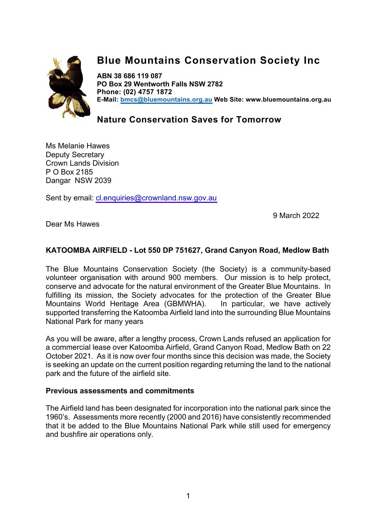

## **Blue Mountains Conservation Society Inc**

**ABN 38 686 119 087 PO Box 29 Wentworth Falls NSW 2782 Phone: (02) 4757 1872 E-Mail: bmcs@bluemountains.org.au Web Site: www.bluemountains.org.au**

**Nature Conservation Saves for Tomorrow**

Ms Melanie Hawes Deputy Secretary Crown Lands Division P O Box 2185 Dangar NSW 2039

Sent by email: cl.enquiries@crownland.nsw.gov.au

9 March 2022

Dear Ms Hawes

## **KATOOMBA AIRFIELD - Lot 550 DP 751627, Grand Canyon Road, Medlow Bath**

The Blue Mountains Conservation Society (the Society) is a community-based volunteer organisation with around 900 members. Our mission is to help protect, conserve and advocate for the natural environment of the Greater Blue Mountains. In fulfilling its mission, the Society advocates for the protection of the Greater Blue Mountains World Heritage Area (GBMWHA). In particular, we have actively supported transferring the Katoomba Airfield land into the surrounding Blue Mountains National Park for many years

As you will be aware, after a lengthy process, Crown Lands refused an application for a commercial lease over Katoomba Airfield, Grand Canyon Road, Medlow Bath on 22 October 2021. As it is now over four months since this decision was made, the Society is seeking an update on the current position regarding returning the land to the national park and the future of the airfield site.

## **Previous assessments and commitments**

The Airfield land has been designated for incorporation into the national park since the 1960's. Assessments more recently (2000 and 2016) have consistently recommended that it be added to the Blue Mountains National Park while still used for emergency and bushfire air operations only.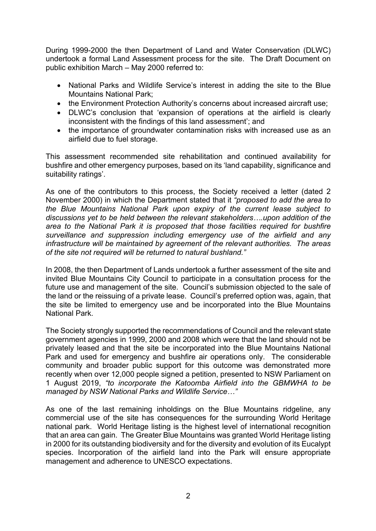During 1999-2000 the then Department of Land and Water Conservation (DLWC) undertook a formal Land Assessment process for the site. The Draft Document on public exhibition March – May 2000 referred to:

- National Parks and Wildlife Service's interest in adding the site to the Blue Mountains National Park;
- the Environment Protection Authority's concerns about increased aircraft use;
- DLWC's conclusion that 'expansion of operations at the airfield is clearly inconsistent with the findings of this land assessment'; and
- the importance of groundwater contamination risks with increased use as an airfield due to fuel storage.

This assessment recommended site rehabilitation and continued availability for bushfire and other emergency purposes, based on its 'land capability, significance and suitability ratings'.

As one of the contributors to this process, the Society received a letter (dated 2 November 2000) in which the Department stated that it *"proposed to add the area to the Blue Mountains National Park upon expiry of the current lease subject to discussions yet to be held between the relevant stakeholders….upon addition of the area to the National Park it is proposed that those facilities required for bushfire surveillance and suppression including emergency use of the airfield and any infrastructure will be maintained by agreement of the relevant authorities. The areas of the site not required will be returned to natural bushland."*

In 2008, the then Department of Lands undertook a further assessment of the site and invited Blue Mountains City Council to participate in a consultation process for the future use and management of the site. Council's submission objected to the sale of the land or the reissuing of a private lease. Council's preferred option was, again, that the site be limited to emergency use and be incorporated into the Blue Mountains National Park.

The Society strongly supported the recommendations of Council and the relevant state government agencies in 1999, 2000 and 2008 which were that the land should not be privately leased and that the site be incorporated into the Blue Mountains National Park and used for emergency and bushfire air operations only. The considerable community and broader public support for this outcome was demonstrated more recently when over 12,000 people signed a petition, presented to NSW Parliament on 1 August 2019, *"to incorporate the Katoomba Airfield into the GBMWHA to be managed by NSW National Parks and Wildlife Service…"*

As one of the last remaining inholdings on the Blue Mountains ridgeline, any commercial use of the site has consequences for the surrounding World Heritage national park. World Heritage listing is the highest level of international recognition that an area can gain. The Greater Blue Mountains was granted World Heritage listing in 2000 for its outstanding biodiversity and for the diversity and evolution of its Eucalypt species. Incorporation of the airfield land into the Park will ensure appropriate management and adherence to UNESCO expectations.